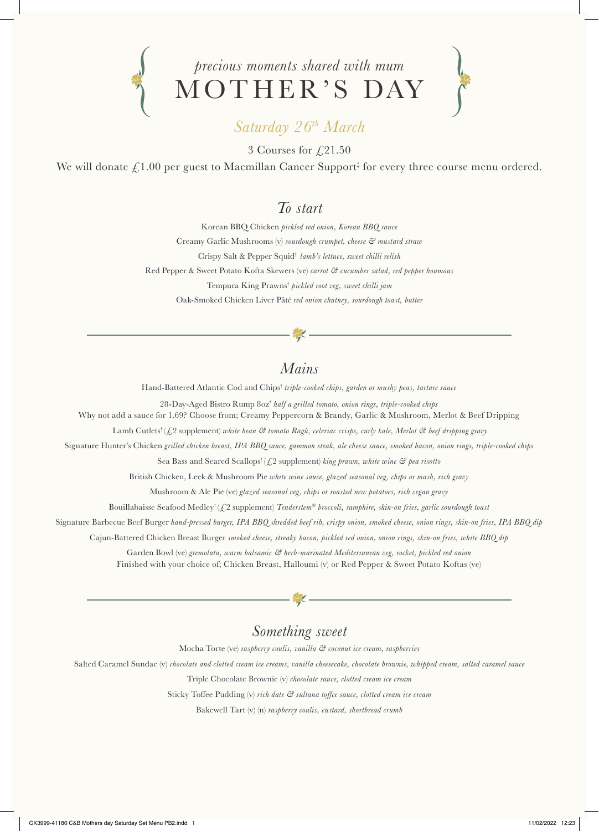



## *Saturday 26th March*

3 Courses for  $\sqrt{21.50}$ 

We will donate  $\pounds 1.00$  per guest to Macmillan Cancer Support‡ for every three course menu ordered.

#### *To start*

Korean BBQ Chicken *pickled red onion, Korean BBQ sauce* Creamy Garlic Mushrooms (v) *sourdough crumpet, cheese & mustard straw* Crispy Salt & Pepper Squid† *lamb's lettuce, sweet chilli relish* Red Pepper & Sweet Potato Kofta Skewers (ve) *carrot & cucumber salad, red pepper houmous* Tempura King Prawns† *pickled root veg, sweet chilli jam* Oak-Smoked Chicken Liver Pâté *red onion chutney, sourdough toast, butter*

#### *Mains*

Hand-Battered Atlantic Cod and Chips† *triple-cooked chips, garden or mushy peas, tartare sauce* 

28-Day-Aged Bistro Rump 8oz\* *half a grilled tomato, onion rings, triple-cooked chips*

Why not add a sauce for 1.69? Choose from; Creamy Peppercorn & Brandy, Garlic & Mushroom, Merlot & Beef Dripping

Lamb Cutlets<sup>†</sup> (£2 supplement) *white bean* & tomato Ragù, celeriac crisps, curly kale, Merlot & beef dripping gravy

Signature Hunter's Chicken *grilled chicken breast, IPA BBQ sauce, gammon steak, ale cheese sauce, smoked bacon, onion rings, triple-cooked chips*

Sea Bass and Seared Scallops† (£2 supplement) *king prawn, white wine & pea risotto*

British Chicken, Leek & Mushroom Pie *white wine sauce, glazed seasonal veg, chips or mash, rich gravy*

Mushroom & Ale Pie (ve) *glazed seasonal veg, chips or roasted new potatoes, rich vegan gravy*

Bouillabaisse Seafood Medley† (£2 supplement) *Tenderstem® broccoli, samphire, skin-on fries, garlic sourdough toast*

Signature Barbecue Beef Burger *hand-pressed burger, IPA BBQ shredded beef rib, crispy onion, smoked cheese, onion rings, skin-on fries, IPA BBQ dip*

Cajun-Battered Chicken Breast Burger *smoked cheese, streaky bacon, pickled red onion, onion rings, skin-on fries, white BBQ dip*

Garden Bowl (ve) *gremolata, warm balsamic & herb-marinated Mediterranean veg, rocket, pickled red onion* Finished with your choice of; Chicken Breast, Halloumi (v) or Red Pepper & Sweet Potato Koftas (ve)

### *Something sweet*

Mocha Torte (ve) *raspberry coulis, vanilla & coconut ice cream, raspberries*

Salted Caramel Sundae (v) *chocolate and clotted cream ice creams, vanilla cheesecake, chocolate brownie, whipped cream, salted caramel sauce*

Triple Chocolate Brownie (v) *chocolate sauce, clotted cream ice cream*

Sticky Toffee Pudding (v) *rich date & sultana toffee sauce, clotted cream ice cream*

Bakewell Tart (v) (n) *raspberry coulis, custard, shortbread crumb*